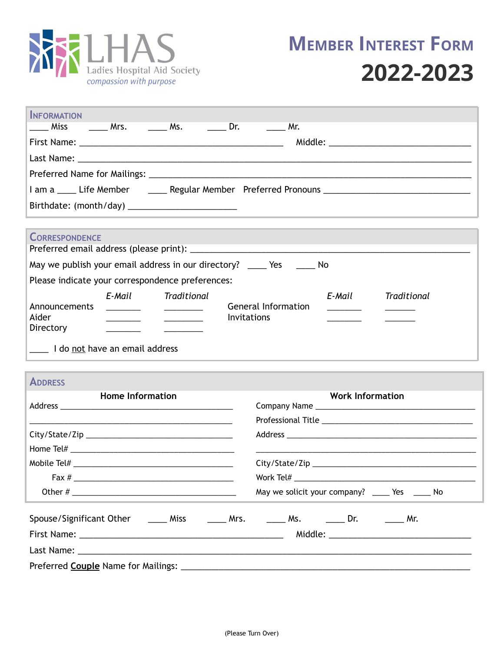

| <b>INFORMATION</b>                                                                                                                                                                                                                                                                                                                                                                                                                                                                                                                                                                                                                                                                 |                                               |  |  |  |  |
|------------------------------------------------------------------------------------------------------------------------------------------------------------------------------------------------------------------------------------------------------------------------------------------------------------------------------------------------------------------------------------------------------------------------------------------------------------------------------------------------------------------------------------------------------------------------------------------------------------------------------------------------------------------------------------|-----------------------------------------------|--|--|--|--|
| Miss                                                                                                                                                                                                                                                                                                                                                                                                                                                                                                                                                                                                                                                                               | Mr.                                           |  |  |  |  |
|                                                                                                                                                                                                                                                                                                                                                                                                                                                                                                                                                                                                                                                                                    |                                               |  |  |  |  |
|                                                                                                                                                                                                                                                                                                                                                                                                                                                                                                                                                                                                                                                                                    |                                               |  |  |  |  |
|                                                                                                                                                                                                                                                                                                                                                                                                                                                                                                                                                                                                                                                                                    |                                               |  |  |  |  |
| I am a _____ Life Member _________ Regular Member Preferred Pronouns _______________________________                                                                                                                                                                                                                                                                                                                                                                                                                                                                                                                                                                               |                                               |  |  |  |  |
| Birthdate: (month/day) ____________________________                                                                                                                                                                                                                                                                                                                                                                                                                                                                                                                                                                                                                                |                                               |  |  |  |  |
|                                                                                                                                                                                                                                                                                                                                                                                                                                                                                                                                                                                                                                                                                    |                                               |  |  |  |  |
| <b>CORRESPONDENCE</b>                                                                                                                                                                                                                                                                                                                                                                                                                                                                                                                                                                                                                                                              |                                               |  |  |  |  |
| May we publish your email address in our directory? _____ Yes ______ No                                                                                                                                                                                                                                                                                                                                                                                                                                                                                                                                                                                                            |                                               |  |  |  |  |
| Please indicate your correspondence preferences:                                                                                                                                                                                                                                                                                                                                                                                                                                                                                                                                                                                                                                   |                                               |  |  |  |  |
| E-Mail<br>Traditional<br>E-Mail<br>Traditional<br><b>General Information</b><br>Announcements<br>$\frac{1}{2} \left( \frac{1}{2} \right) \left( \frac{1}{2} \right) \left( \frac{1}{2} \right) \left( \frac{1}{2} \right) \left( \frac{1}{2} \right) \left( \frac{1}{2} \right) \left( \frac{1}{2} \right) \left( \frac{1}{2} \right) \left( \frac{1}{2} \right) \left( \frac{1}{2} \right) \left( \frac{1}{2} \right) \left( \frac{1}{2} \right) \left( \frac{1}{2} \right) \left( \frac{1}{2} \right) \left( \frac{1}{2} \right) \left( \frac{1}{2} \right) \left( \frac$<br><u> Alexandria de la pro</u><br><u> La Carlo Carlo Carlo I</u><br>Aider<br>Invitations<br>Directory |                                               |  |  |  |  |
| 1 do not have an email address                                                                                                                                                                                                                                                                                                                                                                                                                                                                                                                                                                                                                                                     |                                               |  |  |  |  |
| <b>ADDRESS</b>                                                                                                                                                                                                                                                                                                                                                                                                                                                                                                                                                                                                                                                                     |                                               |  |  |  |  |
| <b>Home Information</b><br><u> 1989 - Johann Stein, mars an deutscher Stein und der Stein und der Stein und der Stein und der Stein und der</u>                                                                                                                                                                                                                                                                                                                                                                                                                                                                                                                                    | <b>Work Information</b>                       |  |  |  |  |
|                                                                                                                                                                                                                                                                                                                                                                                                                                                                                                                                                                                                                                                                                    |                                               |  |  |  |  |
|                                                                                                                                                                                                                                                                                                                                                                                                                                                                                                                                                                                                                                                                                    |                                               |  |  |  |  |
|                                                                                                                                                                                                                                                                                                                                                                                                                                                                                                                                                                                                                                                                                    |                                               |  |  |  |  |
| Fax $#$                                                                                                                                                                                                                                                                                                                                                                                                                                                                                                                                                                                                                                                                            | Work Tel#                                     |  |  |  |  |
|                                                                                                                                                                                                                                                                                                                                                                                                                                                                                                                                                                                                                                                                                    | May we solicit your company? ____ Yes ____ No |  |  |  |  |
| Spouse/Significant Other _______ Miss ________ Mrs. _______ Ms. ________ Dr. _______ Mr.                                                                                                                                                                                                                                                                                                                                                                                                                                                                                                                                                                                           |                                               |  |  |  |  |
|                                                                                                                                                                                                                                                                                                                                                                                                                                                                                                                                                                                                                                                                                    |                                               |  |  |  |  |
|                                                                                                                                                                                                                                                                                                                                                                                                                                                                                                                                                                                                                                                                                    |                                               |  |  |  |  |

Preferred **Couple** Name for Mailings: